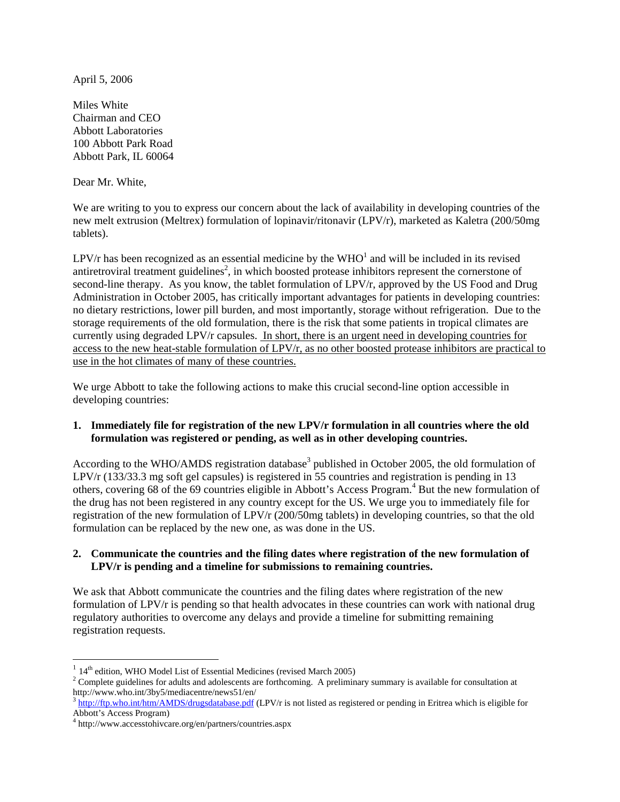April 5, 2006

Miles White Chairman and CEO Abbott Laboratories 100 Abbott Park Road Abbott Park, IL 60064

Dear Mr. White,

We are writing to you to express our concern about the lack of availability in developing countries of the new melt extrusion (Meltrex) formulation of lopinavir/ritonavir (LPV/r), marketed as Kaletra (200/50mg tablets).

LPV/r has been recognized as an essential medicine by the  $WHO<sup>1</sup>$  and will be included in its revised antiretroviral treatment guidelines<sup>[2](#page-0-1)</sup>, in which boosted protease inhibitors represent the cornerstone of second-line therapy. As you know, the tablet formulation of LPV/r, approved by the US Food and Drug Administration in October 2005, has critically important advantages for patients in developing countries: no dietary restrictions, lower pill burden, and most importantly, storage without refrigeration. Due to the storage requirements of the old formulation, there is the risk that some patients in tropical climates are currently using degraded LPV/r capsules. In short, there is an urgent need in developing countries for access to the new heat-stable formulation of LPV/r, as no other boosted protease inhibitors are practical to use in the hot climates of many of these countries.

We urge Abbott to take the following actions to make this crucial second-line option accessible in developing countries:

## **1. Immediately file for registration of the new LPV/r formulation in all countries where the old formulation was registered or pending, as well as in other developing countries.**

According to the WHO/AMDS registration database<sup>3</sup> published in October 2005, the old formulation of LPV/r (133/33.3 mg soft gel capsules) is registered in 55 countries and registration is pending in 13 others, covering 68 of the 69 countries eligible in Abbott's Access Program.<sup>[4](#page-0-3)</sup> But the new formulation of the drug has not been registered in any country except for the US. We urge you to immediately file for registration of the new formulation of LPV/r (200/50mg tablets) in developing countries, so that the old formulation can be replaced by the new one, as was done in the US.

## **2. Communicate the countries and the filing dates where registration of the new formulation of LPV/r is pending and a timeline for submissions to remaining countries.**

We ask that Abbott communicate the countries and the filing dates where registration of the new formulation of LPV/r is pending so that health advocates in these countries can work with national drug regulatory authorities to overcome any delays and provide a timeline for submitting remaining registration requests.

 $\overline{a}$ 

<span id="page-0-0"></span> $114<sup>th</sup>$  edition, WHO Model List of Essential Medicines (revised March 2005)

<span id="page-0-1"></span> $2^{\circ}$  Complete guidelines for adults and adolescents are forthcoming. A preliminary summary is available for consultation at http://www.who.int/3by5/mediacentre/news51/en/<br><sup>3</sup> <http://ftp.who.int/htm/AMDS/drugsdatabase.pdf>(LPV/r is not listed as registered or pending in Eritrea which is eligible for

<span id="page-0-2"></span>Abbott's Access Program)

<span id="page-0-3"></span><sup>4</sup> http://www.accesstohivcare.org/en/partners/countries.aspx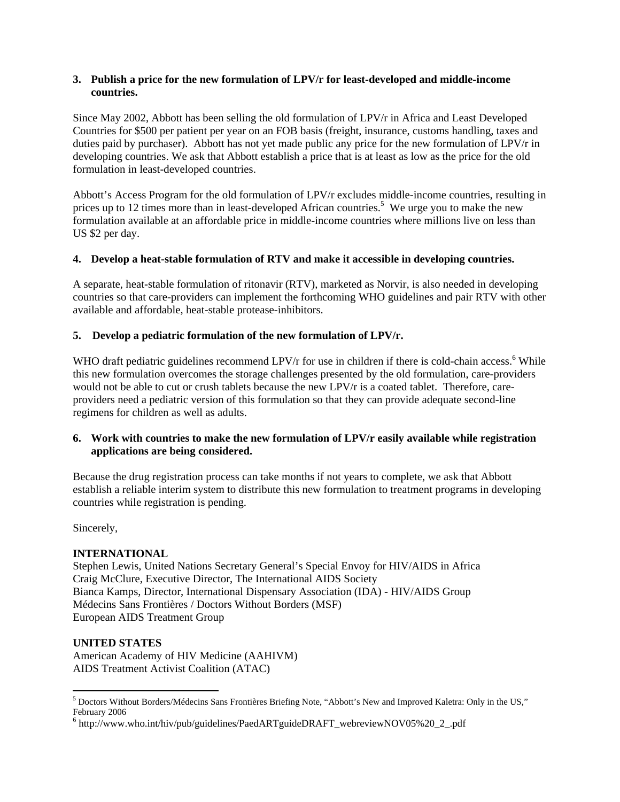### **3. Publish a price for the new formulation of LPV/r for least-developed and middle-income countries.**

Since May 2002, Abbott has been selling the old formulation of LPV/r in Africa and Least Developed Countries for \$500 per patient per year on an FOB basis (freight, insurance, customs handling, taxes and duties paid by purchaser). Abbott has not yet made public any price for the new formulation of LPV/r in developing countries. We ask that Abbott establish a price that is at least as low as the price for the old formulation in least-developed countries.

Abbott's Access Program for the old formulation of LPV/r excludes middle-income countries, resulting in prices up to 12 times more than in least-developed African countries.<sup>5</sup> We urge you to make the new formulation available at an affordable price in middle-income countries where millions live on less than US \$2 per day.

## **4. Develop a heat-stable formulation of RTV and make it accessible in developing countries.**

A separate, heat-stable formulation of ritonavir (RTV), marketed as Norvir, is also needed in developing countries so that care-providers can implement the forthcoming WHO guidelines and pair RTV with other available and affordable, heat-stable protease-inhibitors.

## **5. Develop a pediatric formulation of the new formulation of LPV/r.**

WHO draft pediatric guidelines recommend LPV/r for use in children if there is cold-chain access.<sup>[6](#page-1-1)</sup> While this new formulation overcomes the storage challenges presented by the old formulation, care-providers would not be able to cut or crush tablets because the new LPV/r is a coated tablet. Therefore, careproviders need a pediatric version of this formulation so that they can provide adequate second-line regimens for children as well as adults.

## **6. Work with countries to make the new formulation of LPV/r easily available while registration applications are being considered.**

Because the drug registration process can take months if not years to complete, we ask that Abbott establish a reliable interim system to distribute this new formulation to treatment programs in developing countries while registration is pending.

Sincerely,

# **INTERNATIONAL**

Stephen Lewis, United Nations Secretary General's Special Envoy for HIV/AIDS in Africa Craig McClure, Executive Director, The International AIDS Society Bianca Kamps, Director, International Dispensary Association (IDA) - HIV/AIDS Group Médecins Sans Frontières / Doctors Without Borders (MSF) European AIDS Treatment Group

## **UNITED STATES**

 $\overline{a}$ 

American Academy of HIV Medicine (AAHIVM) AIDS Treatment Activist Coalition (ATAC)

<span id="page-1-0"></span> $^5$  Doctors Without Borders/Médecins Sans Frontières Briefing Note, "Abbott's New and Improved Kaletra: Only in the US," February 2006

<span id="page-1-1"></span><sup>&</sup>lt;sup>6</sup> http://www.who.int/hiv/pub/guidelines/PaedARTguideDRAFT\_webreviewNOV05%20\_2\_.pdf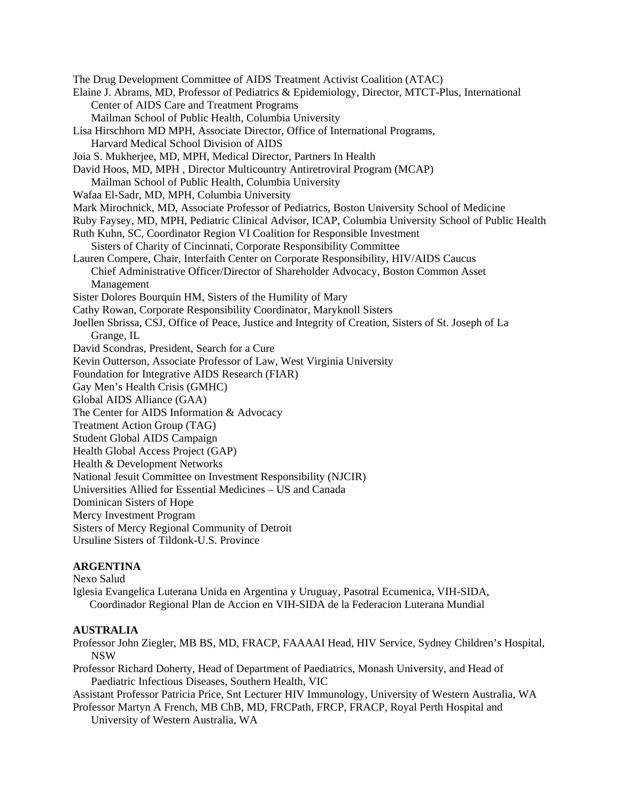The Drug Development Committee of AIDS Treatment Activist Coalition (ATAC) Elaine J. Abrams, MD, Professor of Pediatrics & Epidemiology, Director, MTCT-Plus, International Center of AIDS Care and Treatment Programs Mailman School of Public Health, Columbia University Lisa Hirschhorn MD MPH, Associate Director, Office of International Programs, Harvard Medical School Division of AIDS Joia S. Mukherjee, MD, MPH, Medical Director, Partners In Health David Hoos, MD, MPH , Director Multicountry Antiretroviral Program (MCAP) Mailman School of Public Health, Columbia University Wafaa El-Sadr, MD, MPH, Columbia University Mark Mirochnick, MD, Associate Professor of Pediatrics, Boston University School of Medicine Ruby Faysey, MD, MPH, Pediatric Clinical Advisor, ICAP, Columbia University School of Public Health Ruth Kuhn, SC, Coordinator Region VI Coalition for Responsible Investment Sisters of Charity of Cincinnati, Corporate Responsibility Committee Lauren Compere, Chair, Interfaith Center on Corporate Responsibility, HIV/AIDS Caucus Chief Administrative Officer/Director of Shareholder Advocacy, Boston Common Asset Management Sister Dolores Bourquin HM, Sisters of the Humility of Mary Cathy Rowan, Corporate Responsibility Coordinator, Maryknoll Sisters Joellen Sbrissa, CSJ, Office of Peace, Justice and Integrity of Creation, Sisters of St. Joseph of La Grange, IL David Scondras, President, Search for a Cure Kevin Outterson, Associate Professor of Law, West Virginia University Foundation for Integrative AIDS Research (FIAR) Gay Men's Health Crisis (GMHC) Global AIDS Alliance (GAA) The Center for AIDS Information & Advocacy Treatment Action Group (TAG) Student Global AIDS Campaign Health Global Access Project (GAP) Health & Development Networks National Jesuit Committee on Investment Responsibility (NJCIR) Universities Allied for Essential Medicines – US and Canada Dominican Sisters of Hope Mercy Investment Program Sisters of Mercy Regional Community of Detroit Ursuline Sisters of Tildonk-U.S. Province **ARGENTINA** 

Nexo Salud

Iglesia Evangelica Luterana Unida en Argentina y Uruguay, Pasotral Ecumenica, VIH-SIDA, Coordinador Regional Plan de Accion en VIH-SIDA de la Federacion Luterana Mundial

# **AUSTRALIA**

Professor John Ziegler, MB BS, MD, FRACP, FAAAAI Head, HIV Service, Sydney Children's Hospital, NSW

Professor Richard Doherty, Head of Department of Paediatrics, Monash University, and Head of Paediatric Infectious Diseases, Southern Health, VIC

Assistant Professor Patricia Price, Snt Lecturer HIV Immunology, University of Western Australia, WA

Professor Martyn A French, MB ChB, MD, FRCPath, FRCP, FRACP, Royal Perth Hospital and University of Western Australia, WA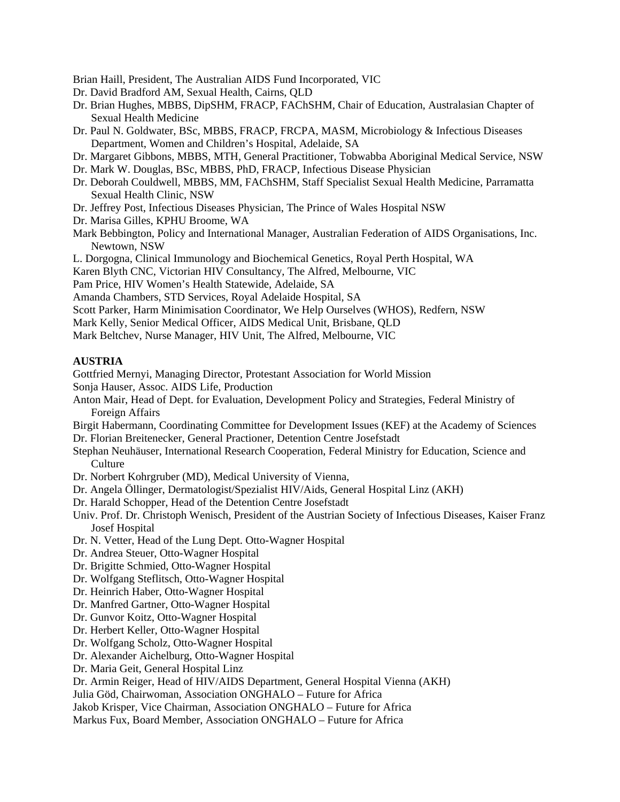Brian Haill, President, The Australian AIDS Fund Incorporated, VIC

- Dr. David Bradford AM, Sexual Health, Cairns, QLD
- Dr. Brian Hughes, MBBS, DipSHM, FRACP, FAChSHM, Chair of Education, Australasian Chapter of Sexual Health Medicine
- Dr. Paul N. Goldwater, BSc, MBBS, FRACP, FRCPA, MASM, Microbiology & Infectious Diseases Department, Women and Children's Hospital, Adelaide, SA
- Dr. Margaret Gibbons, MBBS, MTH, General Practitioner, Tobwabba Aboriginal Medical Service, NSW
- Dr. Mark W. Douglas, BSc, MBBS, PhD, FRACP, Infectious Disease Physician
- Dr. Deborah Couldwell, MBBS, MM, FAChSHM, Staff Specialist Sexual Health Medicine, Parramatta Sexual Health Clinic, NSW
- Dr. Jeffrey Post, Infectious Diseases Physician, The Prince of Wales Hospital NSW
- Dr. Marisa Gilles, KPHU Broome, WA
- Mark Bebbington, Policy and International Manager, Australian Federation of AIDS Organisations, Inc. Newtown, NSW
- L. Dorgogna, Clinical Immunology and Biochemical Genetics, Royal Perth Hospital, WA
- Karen Blyth CNC, Victorian HIV Consultancy, The Alfred, Melbourne, VIC

Pam Price, HIV Women's Health Statewide, Adelaide, SA

Amanda Chambers, STD Services, Royal Adelaide Hospital, SA

- Scott Parker, Harm Minimisation Coordinator, We Help Ourselves (WHOS), Redfern, NSW
- Mark Kelly, Senior Medical Officer, AIDS Medical Unit, Brisbane, QLD

Mark Beltchev, Nurse Manager, HIV Unit, The Alfred, Melbourne, VIC

### **AUSTRIA**

Gottfried Mernyi, Managing Director, Protestant Association for World Mission

- Sonja Hauser, Assoc. AIDS Life, Production
- Anton Mair, Head of Dept. for Evaluation, Development Policy and Strategies, Federal Ministry of Foreign Affairs

Birgit Habermann, Coordinating Committee for Development Issues (KEF) at the Academy of Sciences Dr. Florian Breitenecker, General Practioner, Detention Centre Josefstadt

- Stephan Neuhäuser, International Research Cooperation, Federal Ministry for Education, Science and **Culture**
- Dr. Norbert Kohrgruber (MD), Medical University of Vienna,
- Dr. Angela Öllinger, Dermatologist/Spezialist HIV/Aids, General Hospital Linz (AKH)
- Dr. Harald Schopper, Head of the Detention Centre Josefstadt
- Univ. Prof. Dr. Christoph Wenisch, President of the Austrian Society of Infectious Diseases, Kaiser Franz Josef Hospital
- Dr. N. Vetter, Head of the Lung Dept. Otto-Wagner Hospital
- Dr. Andrea Steuer, Otto-Wagner Hospital
- Dr. Brigitte Schmied, Otto-Wagner Hospital
- Dr. Wolfgang Steflitsch, Otto-Wagner Hospital
- Dr. Heinrich Haber, Otto-Wagner Hospital
- Dr. Manfred Gartner, Otto-Wagner Hospital
- Dr. Gunvor Koitz, Otto-Wagner Hospital
- Dr. Herbert Keller, Otto-Wagner Hospital
- Dr. Wolfgang Scholz, Otto-Wagner Hospital
- Dr. Alexander Aichelburg, Otto-Wagner Hospital

Dr. Maria Geit, General Hospital Linz

Dr. Armin Reiger, Head of HIV/AIDS Department, General Hospital Vienna (AKH)

Julia Göd, Chairwoman, Association ONGHALO – Future for Africa

Jakob Krisper, Vice Chairman, Association ONGHALO – Future for Africa

Markus Fux, Board Member, Association ONGHALO – Future for Africa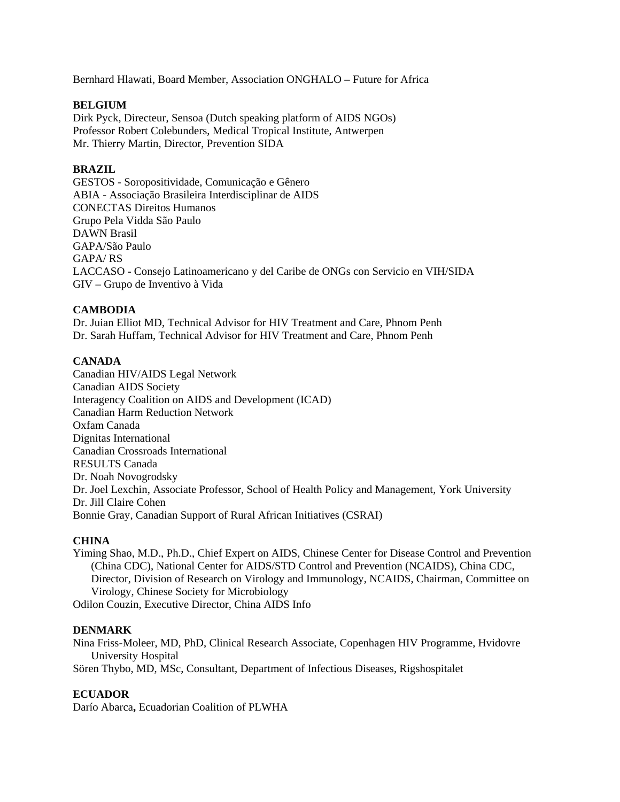Bernhard Hlawati, Board Member, Association ONGHALO – Future for Africa

### **BELGIUM**

Dirk Pyck, Directeur, Sensoa (Dutch speaking platform of AIDS NGOs) Professor Robert Colebunders, Medical Tropical Institute, Antwerpen Mr. Thierry Martin, Director, Prevention SIDA

### **BRAZIL**

GESTOS - Soropositividade, Comunicação e Gênero ABIA - Associação Brasileira Interdisciplinar de AIDS CONECTAS Direitos Humanos Grupo Pela Vidda São Paulo DAWN Brasil GAPA/São Paulo GAPA/ RS LACCASO - Consejo Latinoamericano y del Caribe de ONGs con Servicio en VIH/SIDA GIV – Grupo de Inventivo à Vida

## **CAMBODIA**

Dr. Juian Elliot MD, Technical Advisor for HIV Treatment and Care, Phnom Penh Dr. Sarah Huffam, Technical Advisor for HIV Treatment and Care, Phnom Penh

## **CANADA**

Canadian HIV/AIDS Legal Network Canadian AIDS Society Interagency Coalition on AIDS and Development (ICAD) Canadian Harm Reduction Network Oxfam Canada Dignitas International Canadian Crossroads International RESULTS Canada Dr. Noah Novogrodsky Dr. Joel Lexchin, Associate Professor, School of Health Policy and Management, York University Dr. Jill Claire Cohen Bonnie Gray, Canadian Support of Rural African Initiatives (CSRAI)

### **CHINA**

Yiming Shao, M.D., Ph.D., Chief Expert on AIDS, Chinese Center for Disease Control and Prevention (China CDC), National Center for AIDS/STD Control and Prevention (NCAIDS), China CDC, Director, Division of Research on Virology and Immunology, NCAIDS, Chairman, Committee on Virology, Chinese Society for Microbiology Odilon Couzin, Executive Director, China AIDS Info

#### **DENMARK**

Nina Friss-Moleer, MD, PhD, Clinical Research Associate, Copenhagen HIV Programme, Hvidovre University Hospital Sören Thybo, MD, MSc, Consultant, Department of Infectious Diseases, Rigshospitalet

#### **ECUADOR**

Darío Abarca**,** Ecuadorian Coalition of PLWHA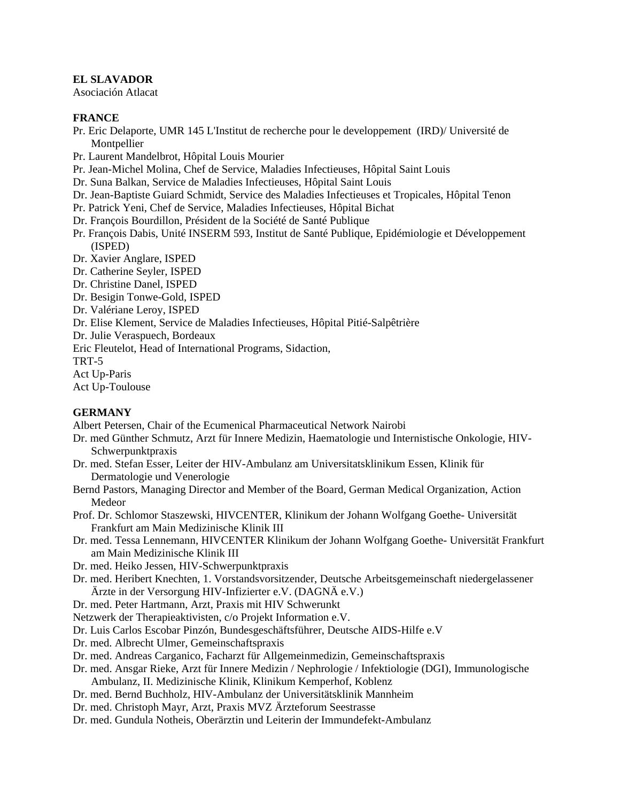## **EL SLAVADOR**

Asociación Atlacat

## **FRANCE**

- Pr. Eric Delaporte, UMR 145 L'Institut de recherche pour le developpement (IRD)/ Université de Montpellier
- Pr. Laurent Mandelbrot, Hôpital Louis Mourier
- Pr. Jean-Michel Molina, Chef de Service, Maladies Infectieuses, Hôpital Saint Louis
- Dr. Suna Balkan, Service de Maladies Infectieuses, Hôpital Saint Louis
- Dr. Jean-Baptiste Guiard Schmidt, Service des Maladies Infectieuses et Tropicales, Hôpital Tenon
- Pr. Patrick Yeni, Chef de Service, Maladies Infectieuses, Hôpital Bichat
- Dr. François Bourdillon, Président de la Société de Santé Publique
- Pr. François Dabis, Unité INSERM 593, Institut de Santé Publique, Epidémiologie et Développement (ISPED)
- Dr. Xavier Anglare, ISPED
- Dr. Catherine Seyler, ISPED
- Dr. Christine Danel, ISPED
- Dr. Besigin Tonwe-Gold, ISPED
- Dr. Valériane Leroy, ISPED
- Dr. Elise Klement, Service de Maladies Infectieuses, Hôpital Pitié-Salpêtrière
- Dr. Julie Veraspuech, Bordeaux

Eric Fleutelot, Head of International Programs, Sidaction,

TRT-5

Act Up-Paris

Act Up-Toulouse

## **GERMANY**

Albert Petersen, Chair of the Ecumenical Pharmaceutical Network Nairobi

- Dr. med Günther Schmutz, Arzt für Innere Medizin, Haematologie und Internistische Onkologie, HIV-Schwerpunktpraxis
- Dr. med. Stefan Esser, Leiter der HIV-Ambulanz am Universitatsklinikum Essen, Klinik für Dermatologie und Venerologie
- Bernd Pastors, Managing Director and Member of the Board, German Medical Organization, Action Medeor
- Prof. Dr. Schlomor Staszewski, HIVCENTER, Klinikum der Johann Wolfgang Goethe- Universität Frankfurt am Main Medizinische Klinik III
- Dr. med. Tessa Lennemann, HIVCENTER Klinikum der Johann Wolfgang Goethe- Universität Frankfurt am Main Medizinische Klinik III
- Dr. med. Heiko Jessen, HIV-Schwerpunktpraxis
- Dr. med. Heribert Knechten, 1. Vorstandsvorsitzender, Deutsche Arbeitsgemeinschaft niedergelassener Ärzte in der Versorgung HIV-Infizierter e.V. (DAGNÄ e.V.)

Dr. med. Peter Hartmann, Arzt, Praxis mit HIV Schwerunkt

Netzwerk der Therapieaktivisten, c/o Projekt Information e.V.

- Dr. Luis Carlos Escobar Pinzón, Bundesgeschäftsführer, Deutsche AIDS-Hilfe e.V
- Dr. med. Albrecht Ulmer, Gemeinschaftspraxis
- Dr. med. Andreas Carganico, Facharzt für Allgemeinmedizin, Gemeinschaftspraxis
- Dr. med. Ansgar Rieke, Arzt für Innere Medizin / Nephrologie / Infektiologie (DGI), Immunologische Ambulanz, II. Medizinische Klinik, Klinikum Kemperhof, Koblenz
- Dr. med. Bernd Buchholz, HIV-Ambulanz der Universitätsklinik Mannheim
- Dr. med. Christoph Mayr, Arzt, Praxis MVZ Ärzteforum Seestrasse
- Dr. med. Gundula Notheis, Oberärztin und Leiterin der Immundefekt-Ambulanz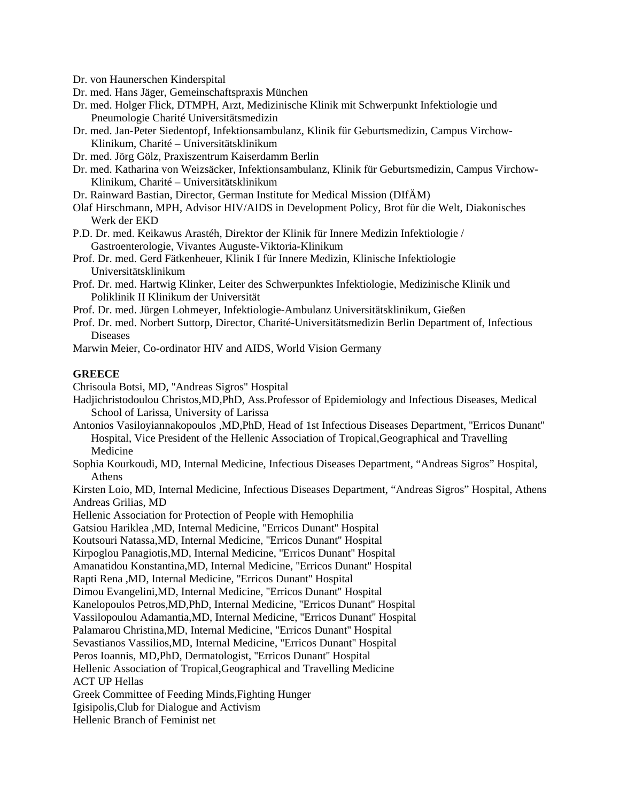Dr. von Haunerschen Kinderspital

- Dr. med. Hans Jäger, Gemeinschaftspraxis München
- Dr. med. Holger Flick, DTMPH, Arzt, Medizinische Klinik mit Schwerpunkt Infektiologie und Pneumologie Charité Universitätsmedizin
- Dr. med. Jan-Peter Siedentopf, Infektionsambulanz, Klinik für Geburtsmedizin, Campus Virchow-Klinikum, Charité – Universitätsklinikum
- Dr. med. Jörg Gölz, Praxiszentrum Kaiserdamm Berlin
- Dr. med. Katharina von Weizsäcker, Infektionsambulanz, Klinik für Geburtsmedizin, Campus Virchow-Klinikum, Charité – Universitätsklinikum
- Dr. Rainward Bastian, Director, German Institute for Medical Mission (DIfÄM)
- Olaf Hirschmann, MPH, Advisor HIV/AIDS in Development Policy, Brot für die Welt, Diakonisches Werk der EKD
- P.D. Dr. med. Keikawus Arastéh, Direktor der Klinik für Innere Medizin Infektiologie / Gastroenterologie, Vivantes Auguste-Viktoria-Klinikum
- Prof. Dr. med. Gerd Fätkenheuer, Klinik I für Innere Medizin, Klinische Infektiologie Universitätsklinikum
- Prof. Dr. med. Hartwig Klinker, Leiter des Schwerpunktes Infektiologie, Medizinische Klinik und Poliklinik II Klinikum der Universität
- Prof. Dr. med. Jürgen Lohmeyer, Infektiologie-Ambulanz Universitätsklinikum, Gießen
- Prof. Dr. med. Norbert Suttorp, Director, Charité-Universitätsmedizin Berlin Department of, Infectious Diseases
- Marwin Meier, Co-ordinator HIV and AIDS, World Vision Germany

#### **GREECE**

Chrisoula Botsi, MD, ''Andreas Sigros'' Hospital

- Hadjichristodoulou Christos,MD,PhD, Ass.Professor of Epidemiology and Infectious Diseases, Medical School of Larissa, University of Larissa
- Antonios Vasiloyiannakopoulos ,MD,PhD, Head of 1st Infectious Diseases Department, ''Erricos Dunant'' Hospital, Vice President of the Hellenic Association of Tropical,Geographical and Travelling Medicine
- Sophia Kourkoudi, MD, Internal Medicine, Infectious Diseases Department, "Andreas Sigros" Hospital, Athens

Kirsten Loio, MD, Internal Medicine, Infectious Diseases Department, "Andreas Sigros" Hospital, Athens Andreas Grilias, MD

Hellenic Association for Protection of People with Hemophilia

Gatsiou Hariklea ,MD, Internal Medicine, ''Erricos Dunant'' Hospital

Koutsouri Natassa,MD, Internal Medicine, ''Erricos Dunant'' Hospital

Kirpoglou Panagiotis,MD, Internal Medicine, ''Erricos Dunant'' Hospital

Amanatidou Konstantina,MD, Internal Medicine, ''Erricos Dunant'' Hospital

Rapti Rena ,MD, Internal Medicine, ''Erricos Dunant'' Hospital

Dimou Evangelini,MD, Internal Medicine, ''Erricos Dunant'' Hospital

Kanelopoulos Petros,MD,PhD, Internal Medicine, ''Erricos Dunant'' Hospital

Vassilopoulou Adamantia,MD, Internal Medicine, ''Erricos Dunant'' Hospital

Palamarou Christina,MD, Internal Medicine, ''Erricos Dunant'' Hospital

Sevastianos Vassilios,MD, Internal Medicine, ''Erricos Dunant'' Hospital

Peros Ioannis, MD,PhD, Dermatologist, ''Erricos Dunant'' Hospital

Hellenic Association of Tropical,Geographical and Travelling Medicine

ACT UP Hellas

Greek Committee of Feeding Minds,Fighting Hunger

Igisipolis,Club for Dialogue and Activism

Hellenic Branch of Feminist net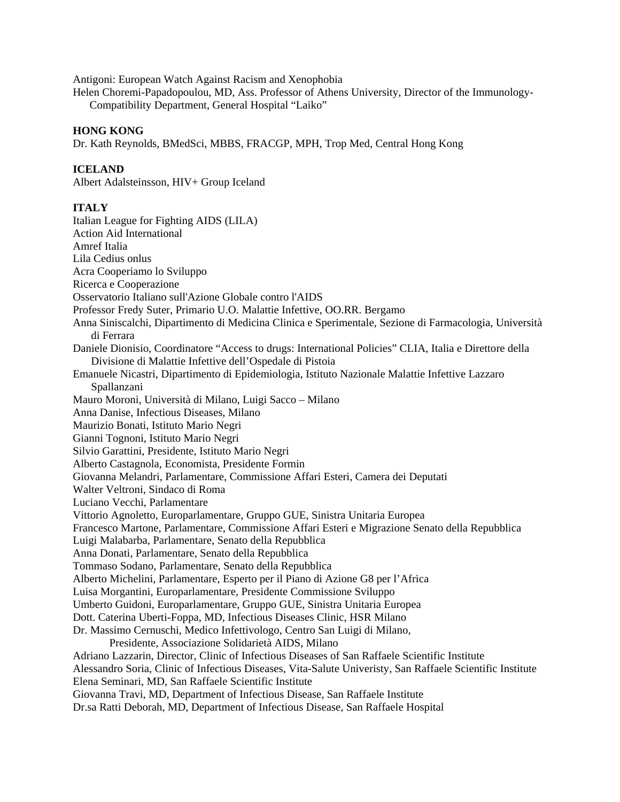Antigoni: European Watch Against Racism and Xenophobia

Helen Choremi-Papadopoulou, MD, Ass. Professor of Athens University, Director of the Immunology- Compatibility Department, General Hospital "Laiko"

#### **HONG KONG**

Dr. Kath Reynolds, BMedSci, MBBS, FRACGP, MPH, Trop Med, Central Hong Kong

#### **ICELAND**

Albert Adalsteinsson, HIV+ Group Iceland

### **ITALY**

Italian League for Fighting AIDS (LILA) Action Aid International Amref Italia Lila Cedius onlus Acra Cooperiamo lo Sviluppo Ricerca e Cooperazione Osservatorio Italiano sull'Azione Globale contro l'AIDS Professor Fredy Suter, Primario U.O. Malattie Infettive, OO.RR. Bergamo Anna Siniscalchi, Dipartimento di Medicina Clinica e Sperimentale, Sezione di Farmacologia, Università di Ferrara Daniele Dionisio, Coordinatore "Access to drugs: International Policies" CLIA, Italia e Direttore della Divisione di Malattie Infettive dell'Ospedale di Pistoia Emanuele Nicastri, Dipartimento di Epidemiologia, Istituto Nazionale Malattie Infettive Lazzaro Spallanzani Mauro Moroni, Università di Milano, Luigi Sacco – Milano Anna Danise, Infectious Diseases, Milano Maurizio Bonati, Istituto Mario Negri Gianni Tognoni, Istituto Mario Negri Silvio Garattini, Presidente, Istituto Mario Negri Alberto Castagnola, Economista, Presidente Formin Giovanna Melandri, Parlamentare, Commissione Affari Esteri, Camera dei Deputati Walter Veltroni, Sindaco di Roma Luciano Vecchi, Parlamentare Vittorio Agnoletto, Europarlamentare, Gruppo GUE, Sinistra Unitaria Europea Francesco Martone, Parlamentare, Commissione Affari Esteri e Migrazione Senato della Repubblica Luigi Malabarba, Parlamentare, Senato della Repubblica Anna Donati, Parlamentare, Senato della Repubblica Tommaso Sodano, Parlamentare, Senato della Repubblica Alberto Michelini, Parlamentare, Esperto per il Piano di Azione G8 per l'Africa Luisa Morgantini, Europarlamentare, Presidente Commissione Sviluppo Umberto Guidoni, Europarlamentare, Gruppo GUE, Sinistra Unitaria Europea Dott. Caterina Uberti-Foppa, MD, Infectious Diseases Clinic, HSR Milano Dr. Massimo Cernuschi, Medico Infettivologo, Centro San Luigi di Milano, Presidente, Associazione Solidarietà AIDS, Milano Adriano Lazzarin, Director, Clinic of Infectious Diseases of San Raffaele Scientific Institute Alessandro Soria, Clinic of Infectious Diseases, Vita-Salute Univeristy, San Raffaele Scientific Institute Elena Seminari, MD, San Raffaele Scientific Institute Giovanna Travi, MD, Department of Infectious Disease, San Raffaele Institute Dr.sa Ratti Deborah, MD, Department of Infectious Disease, San Raffaele Hospital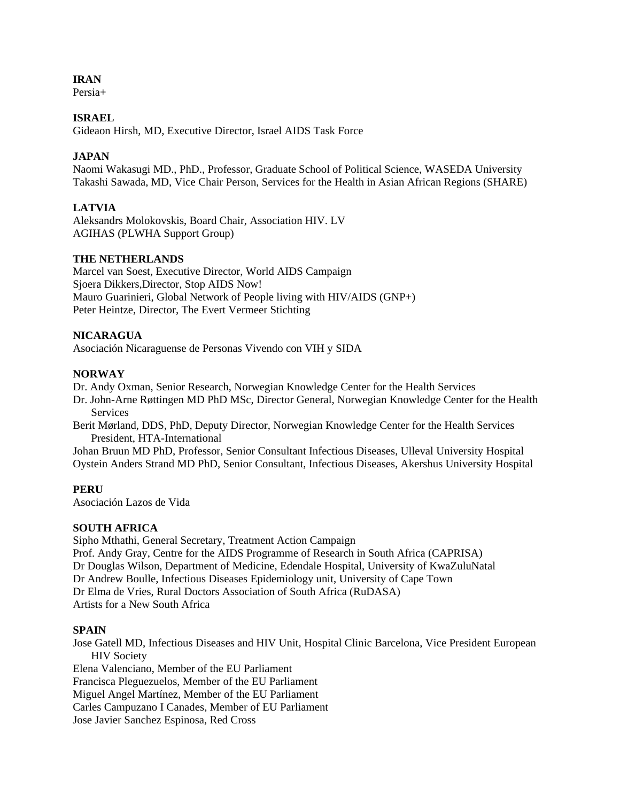## **IRAN**

 $Percia+$ 

## **ISRAEL**

Gideaon Hirsh, MD, Executive Director, Israel AIDS Task Force

## **JAPAN**

Naomi Wakasugi MD., PhD., Professor, Graduate School of Political Science, WASEDA University Takashi Sawada, MD, Vice Chair Person, Services for the Health in Asian African Regions (SHARE)

## **LATVIA**

Aleksandrs Molokovskis, Board Chair, Association HIV. LV AGIHAS (PLWHA Support Group)

### **THE NETHERLANDS**

Marcel van Soest, Executive Director, World AIDS Campaign Sjoera Dikkers,Director, Stop AIDS Now! Mauro Guarinieri, Global Network of People living with HIV/AIDS (GNP+) Peter Heintze, Director, The Evert Vermeer Stichting

### **NICARAGUA**

Asociación Nicaraguense de Personas Vivendo con VIH y SIDA

### **NORWAY**

Dr. Andy Oxman, Senior Research, Norwegian Knowledge Center for the Health Services

- Dr. John-Arne Røttingen MD PhD MSc, Director General, Norwegian Knowledge Center for the Health **Services**
- Berit Mørland, DDS, PhD, Deputy Director, Norwegian Knowledge Center for the Health Services President, HTA-International

Johan Bruun MD PhD, Professor, Senior Consultant Infectious Diseases, Ulleval University Hospital Oystein Anders Strand MD PhD, Senior Consultant, Infectious Diseases, Akershus University Hospital

## **PERU**

Asociación Lazos de Vida

#### **SOUTH AFRICA**

Sipho Mthathi, General Secretary, Treatment Action Campaign Prof. Andy Gray, Centre for the AIDS Programme of Research in South Africa (CAPRISA) Dr Douglas Wilson, Department of Medicine, Edendale Hospital, University of KwaZuluNatal Dr Andrew Boulle, Infectious Diseases Epidemiology unit, University of Cape Town Dr Elma de Vries, Rural Doctors Association of South Africa (RuDASA) Artists for a New South Africa

## **SPAIN**

Jose Gatell MD, Infectious Diseases and HIV Unit, Hospital Clinic Barcelona, Vice President European HIV Society Elena Valenciano, Member of the EU Parliament Francisca Pleguezuelos, Member of the EU Parliament Miguel Angel Martínez, Member of the EU Parliament Carles Campuzano I Canades, Member of EU Parliament

Jose Javier Sanchez Espinosa, Red Cross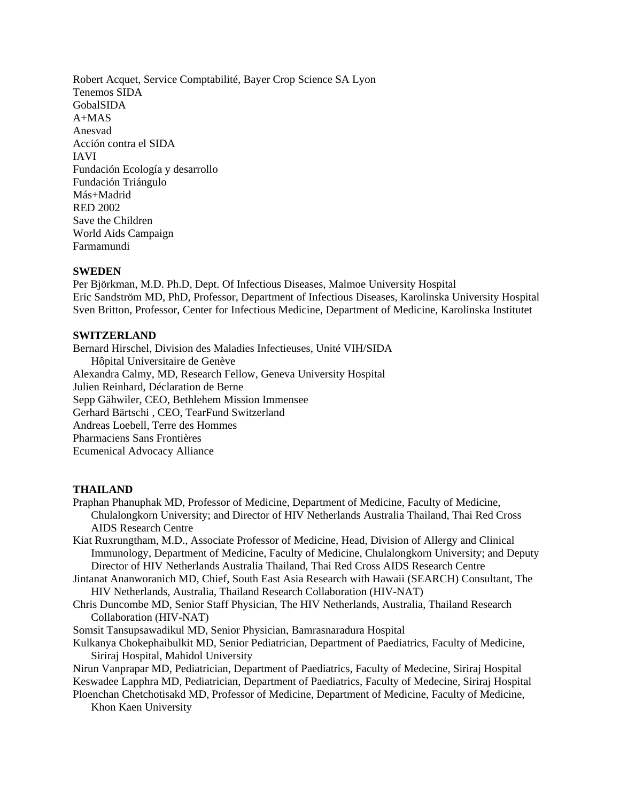Robert Acquet, Service Comptabilité, Bayer Crop Science SA Lyon Tenemos SIDA GobalSIDA A+MAS Anesvad Acción contra el SIDA IAVI Fundación Ecología y desarrollo Fundación Triángulo Más+Madrid RED 2002 Save the Children World Aids Campaign Farmamundi

## **SWEDEN**

Per Björkman, M.D. Ph.D, Dept. Of Infectious Diseases, Malmoe University Hospital Eric Sandström MD, PhD, Professor, Department of Infectious Diseases, Karolinska University Hospital Sven Britton, Professor, Center for Infectious Medicine, Department of Medicine, Karolinska Institutet

## **SWITZERLAND**

Bernard Hirschel, Division des Maladies Infectieuses, Unité VIH/SIDA Hôpital Universitaire de Genève Alexandra Calmy, MD, Research Fellow, Geneva University Hospital Julien Reinhard, Déclaration de Berne Sepp Gähwiler, CEO, Bethlehem Mission Immensee Gerhard Bärtschi , CEO, TearFund Switzerland Andreas Loebell, Terre des Hommes Pharmaciens Sans Frontières Ecumenical Advocacy Alliance

#### **THAILAND**

- Praphan Phanuphak MD, Professor of Medicine, Department of Medicine, Faculty of Medicine, Chulalongkorn University; and Director of HIV Netherlands Australia Thailand, Thai Red Cross AIDS Research Centre
- Kiat Ruxrungtham, M.D., Associate Professor of Medicine, Head, Division of Allergy and Clinical Immunology, Department of Medicine, Faculty of Medicine, Chulalongkorn University; and Deputy Director of HIV Netherlands Australia Thailand, Thai Red Cross AIDS Research Centre
- Jintanat Ananworanich MD, Chief, South East Asia Research with Hawaii (SEARCH) Consultant, The HIV Netherlands, Australia, Thailand Research Collaboration (HIV-NAT)
- Chris Duncombe MD, Senior Staff Physician, The HIV Netherlands, Australia, Thailand Research Collaboration (HIV-NAT)

Somsit Tansupsawadikul MD, Senior Physician, Bamrasnaradura Hospital

Kulkanya Chokephaibulkit MD, Senior Pediatrician, Department of Paediatrics, Faculty of Medicine, Siriraj Hospital, Mahidol University

Nirun Vanprapar MD, Pediatrician, Department of Paediatrics, Faculty of Medecine, Siriraj Hospital Keswadee Lapphra MD, Pediatrician, Department of Paediatrics, Faculty of Medecine, Siriraj Hospital

Ploenchan Chetchotisakd MD, Professor of Medicine, Department of Medicine, Faculty of Medicine, Khon Kaen University